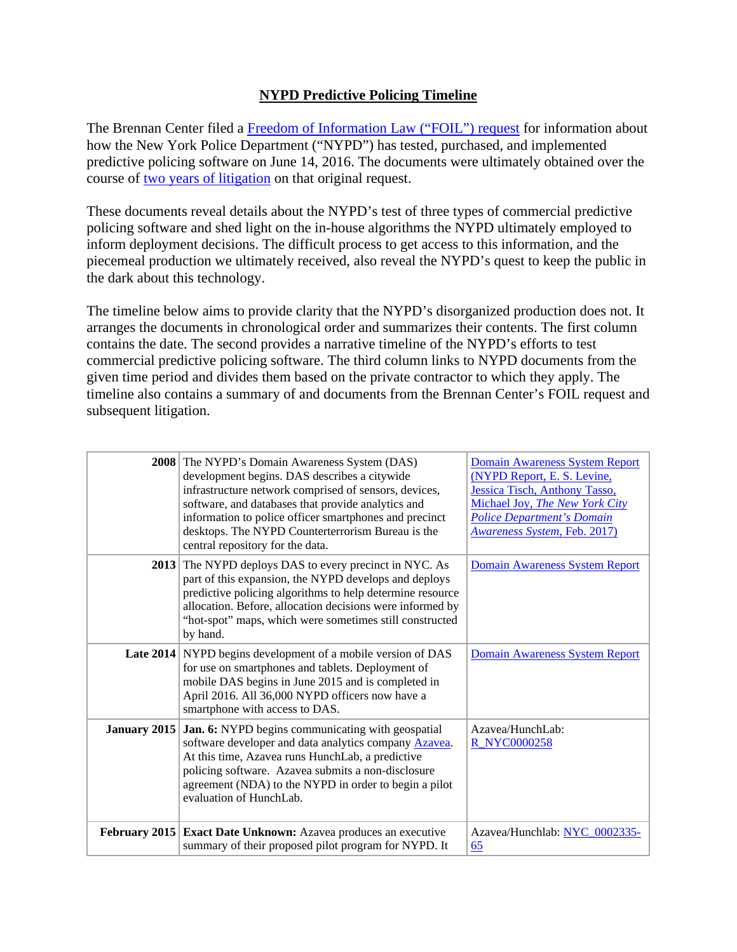## **NYPD Predictive Policing Timeline**

The Brennan Center filed a [Freedom of Information Law \("FOIL"\) request](https://www.brennancenter.org/sites/default/files/NYPD%20Palantir%20FOIL%20061416.pdf) for information about how the New York Police Department ("NYPD") has tested, purchased, and implemented predictive policing software on June 14, 2016. The documents were ultimately obtained over the course of [two years of litigation](https://www.brennancenter.org/legal-work/brennan-center-justice-v-new-york-police-department) on that original request.

These documents reveal details about the NYPD's test of three types of commercial predictive policing software and shed light on the in-house algorithms the NYPD ultimately employed to inform deployment decisions. The difficult process to get access to this information, and the piecemeal production we ultimately received, also reveal the NYPD's quest to keep the public in the dark about this technology.

The timeline below aims to provide clarity that the NYPD's disorganized production does not. It arranges the documents in chronological order and summarizes their contents. The first column contains the date. The second provides a narrative timeline of the NYPD's efforts to test commercial predictive policing software. The third column links to NYPD documents from the given time period and divides them based on the private contractor to which they apply. The timeline also contains a summary of and documents from the Brennan Center's FOIL request and subsequent litigation.

|                     | <b>2008</b> The NYPD's Domain Awareness System (DAS)<br>development begins. DAS describes a citywide<br>infrastructure network comprised of sensors, devices,<br>software, and databases that provide analytics and<br>information to police officer smartphones and precinct<br>desktops. The NYPD Counterterrorism Bureau is the<br>central repository for the data. | Domain Awareness System Report<br>(NYPD Report, E. S. Levine,<br>Jessica Tisch, Anthony Tasso,<br>Michael Joy, The New York City<br><b>Police Department's Domain</b><br><b>Awareness System, Feb. 2017)</b> |
|---------------------|------------------------------------------------------------------------------------------------------------------------------------------------------------------------------------------------------------------------------------------------------------------------------------------------------------------------------------------------------------------------|--------------------------------------------------------------------------------------------------------------------------------------------------------------------------------------------------------------|
| 2013                | The NYPD deploys DAS to every precinct in NYC. As<br>part of this expansion, the NYPD develops and deploys<br>predictive policing algorithms to help determine resource<br>allocation. Before, allocation decisions were informed by<br>"hot-spot" maps, which were sometimes still constructed<br>by hand.                                                            | Domain Awareness System Report                                                                                                                                                                               |
|                     | Late 2014 NYPD begins development of a mobile version of DAS<br>for use on smartphones and tablets. Deployment of<br>mobile DAS begins in June 2015 and is completed in<br>April 2016. All 36,000 NYPD officers now have a<br>smartphone with access to DAS.                                                                                                           | Domain Awareness System Report                                                                                                                                                                               |
| <b>January 2015</b> | Jan. 6: NYPD begins communicating with geospatial<br>software developer and data analytics company Azavea.<br>At this time, Azavea runs HunchLab, a predictive<br>policing software. Azavea submits a non-disclosure<br>agreement (NDA) to the NYPD in order to begin a pilot<br>evaluation of HunchLab.                                                               | Azavea/HunchLab:<br><b>R_NYC0000258</b>                                                                                                                                                                      |
| February 2015       | Exact Date Unknown: Azavea produces an executive<br>summary of their proposed pilot program for NYPD. It                                                                                                                                                                                                                                                               | Azavea/Hunchlab: NYC_0002335-<br><u>65</u>                                                                                                                                                                   |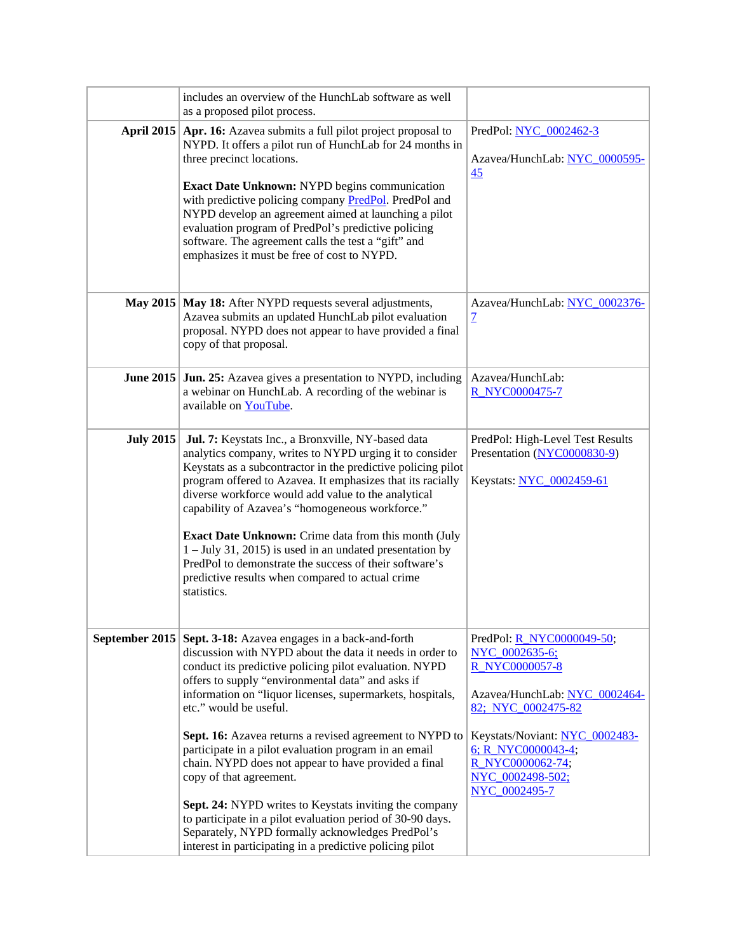|                  | includes an overview of the HunchLab software as well<br>as a proposed pilot process.                                                                                                                                                                                                                                                                                                                                                                                                                                                                                                                                                                                                                                                                                                   |                                                                                                                                                                                                                                                        |
|------------------|-----------------------------------------------------------------------------------------------------------------------------------------------------------------------------------------------------------------------------------------------------------------------------------------------------------------------------------------------------------------------------------------------------------------------------------------------------------------------------------------------------------------------------------------------------------------------------------------------------------------------------------------------------------------------------------------------------------------------------------------------------------------------------------------|--------------------------------------------------------------------------------------------------------------------------------------------------------------------------------------------------------------------------------------------------------|
|                  | April 2015   Apr. 16: Azavea submits a full pilot project proposal to<br>NYPD. It offers a pilot run of HunchLab for 24 months in<br>three precinct locations.<br>Exact Date Unknown: NYPD begins communication<br>with predictive policing company PredPol. PredPol and<br>NYPD develop an agreement aimed at launching a pilot<br>evaluation program of PredPol's predictive policing<br>software. The agreement calls the test a "gift" and<br>emphasizes it must be free of cost to NYPD.                                                                                                                                                                                                                                                                                           | PredPol: NYC 0002462-3<br>Azavea/HunchLab: NYC 0000595-<br>45                                                                                                                                                                                          |
|                  | May 2015   May 18: After NYPD requests several adjustments,<br>Azavea submits an updated HunchLab pilot evaluation<br>proposal. NYPD does not appear to have provided a final<br>copy of that proposal.                                                                                                                                                                                                                                                                                                                                                                                                                                                                                                                                                                                 | Azavea/HunchLab: NYC 0002376-<br>$\overline{\mathcal{I}}$                                                                                                                                                                                              |
|                  | June 2015 Jun. 25: Azavea gives a presentation to NYPD, including<br>a webinar on HunchLab. A recording of the webinar is<br>available on YouTube.                                                                                                                                                                                                                                                                                                                                                                                                                                                                                                                                                                                                                                      | Azavea/HunchLab:<br>R_NYC0000475-7                                                                                                                                                                                                                     |
| <b>July 2015</b> | Jul. 7: Keystats Inc., a Bronxville, NY-based data<br>analytics company, writes to NYPD urging it to consider<br>Keystats as a subcontractor in the predictive policing pilot<br>program offered to Azavea. It emphasizes that its racially<br>diverse workforce would add value to the analytical<br>capability of Azavea's "homogeneous workforce."<br><b>Exact Date Unknown:</b> Crime data from this month (July<br>$1 - July 31, 2015$ is used in an undated presentation by<br>PredPol to demonstrate the success of their software's<br>predictive results when compared to actual crime<br>statistics.                                                                                                                                                                          | PredPol: High-Level Test Results<br>Presentation (NYC0000830-9)<br>Keystats: NYC 0002459-61                                                                                                                                                            |
|                  | September 2015   Sept. 3-18: Azavea engages in a back-and-forth<br>discussion with NYPD about the data it needs in order to<br>conduct its predictive policing pilot evaluation. NYPD<br>offers to supply "environmental data" and asks if<br>information on "liquor licenses, supermarkets, hospitals,<br>etc." would be useful.<br>Sept. 16: Azavea returns a revised agreement to NYPD to<br>participate in a pilot evaluation program in an email<br>chain. NYPD does not appear to have provided a final<br>copy of that agreement.<br><b>Sept. 24:</b> NYPD writes to Keystats inviting the company<br>to participate in a pilot evaluation period of 30-90 days.<br>Separately, NYPD formally acknowledges PredPol's<br>interest in participating in a predictive policing pilot | PredPol: <u>R_NYC0000049-50</u> ;<br>NYC 0002635-6;<br><b>R NYC0000057-8</b><br>Azavea/HunchLab: NYC 0002464-<br>82; NYC 0002475-82<br>Keystats/Noviant: NYC 0002483-<br>$6; R$ NYC0000043-4;<br>R_NYC0000062-74;<br>NYC 0002498-502;<br>NYC 0002495-7 |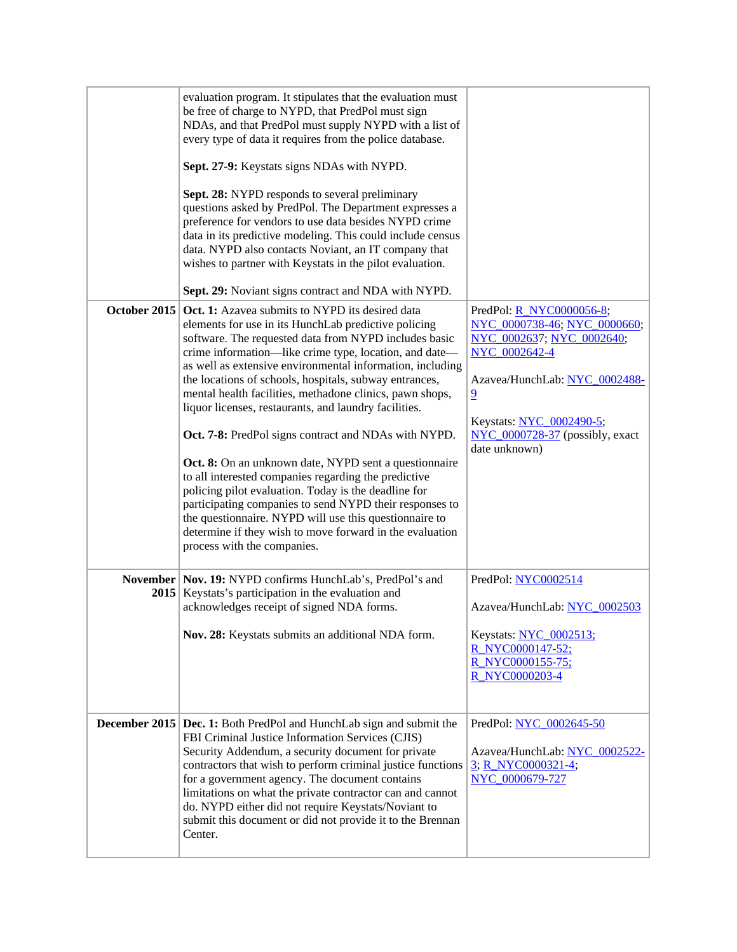|               | evaluation program. It stipulates that the evaluation must<br>be free of charge to NYPD, that PredPol must sign<br>NDAs, and that PredPol must supply NYPD with a list of<br>every type of data it requires from the police database.<br>Sept. 27-9: Keystats signs NDAs with NYPD.<br><b>Sept. 28:</b> NYPD responds to several preliminary<br>questions asked by PredPol. The Department expresses a<br>preference for vendors to use data besides NYPD crime<br>data in its predictive modeling. This could include census<br>data. NYPD also contacts Noviant, an IT company that<br>wishes to partner with Keystats in the pilot evaluation.<br>Sept. 29: Noviant signs contract and NDA with NYPD.                                                                                                                                                                                                                |                                                                                                                                                                                                                                                   |
|---------------|-------------------------------------------------------------------------------------------------------------------------------------------------------------------------------------------------------------------------------------------------------------------------------------------------------------------------------------------------------------------------------------------------------------------------------------------------------------------------------------------------------------------------------------------------------------------------------------------------------------------------------------------------------------------------------------------------------------------------------------------------------------------------------------------------------------------------------------------------------------------------------------------------------------------------|---------------------------------------------------------------------------------------------------------------------------------------------------------------------------------------------------------------------------------------------------|
| October 2015  | Oct. 1: Azavea submits to NYPD its desired data<br>elements for use in its HunchLab predictive policing<br>software. The requested data from NYPD includes basic<br>crime information—like crime type, location, and date—<br>as well as extensive environmental information, including<br>the locations of schools, hospitals, subway entrances,<br>mental health facilities, methadone clinics, pawn shops,<br>liquor licenses, restaurants, and laundry facilities.<br>Oct. 7-8: PredPol signs contract and NDAs with NYPD.<br>Oct. 8: On an unknown date, NYPD sent a questionnaire<br>to all interested companies regarding the predictive<br>policing pilot evaluation. Today is the deadline for<br>participating companies to send NYPD their responses to<br>the questionnaire. NYPD will use this questionnaire to<br>determine if they wish to move forward in the evaluation<br>process with the companies. | PredPol: <b>R_NYC0000056-8</b> ;<br>NYC 0000738-46; NYC 0000660;<br>NYC 0002637; NYC 0002640;<br>NYC_0002642-4<br>Azavea/HunchLab: NYC 0002488-<br>$\overline{9}$<br>Keystats: NYC 0002490-5;<br>NYC_0000728-37 (possibly, exact<br>date unknown) |
|               | November   Nov. 19: NYPD confirms HunchLab's, PredPol's and<br>2015   Keystats's participation in the evaluation and<br>acknowledges receipt of signed NDA forms.<br>Nov. 28: Keystats submits an additional NDA form.                                                                                                                                                                                                                                                                                                                                                                                                                                                                                                                                                                                                                                                                                                  | PredPol: NYC0002514<br>Azavea/HunchLab: NYC 0002503<br>Keystats: NYC 0002513;<br>R NYC0000147-52;<br>R_NYC0000155-75;<br><b>R NYC0000203-4</b>                                                                                                    |
| December 2015 | Dec. 1: Both PredPol and HunchLab sign and submit the<br>FBI Criminal Justice Information Services (CJIS)<br>Security Addendum, a security document for private<br>contractors that wish to perform criminal justice functions<br>for a government agency. The document contains<br>limitations on what the private contractor can and cannot<br>do. NYPD either did not require Keystats/Noviant to<br>submit this document or did not provide it to the Brennan<br>Center.                                                                                                                                                                                                                                                                                                                                                                                                                                            | PredPol: NYC_0002645-50<br>Azavea/HunchLab: NYC 0002522-<br>3; R_NYC0000321-4;<br>NYC 0000679-727                                                                                                                                                 |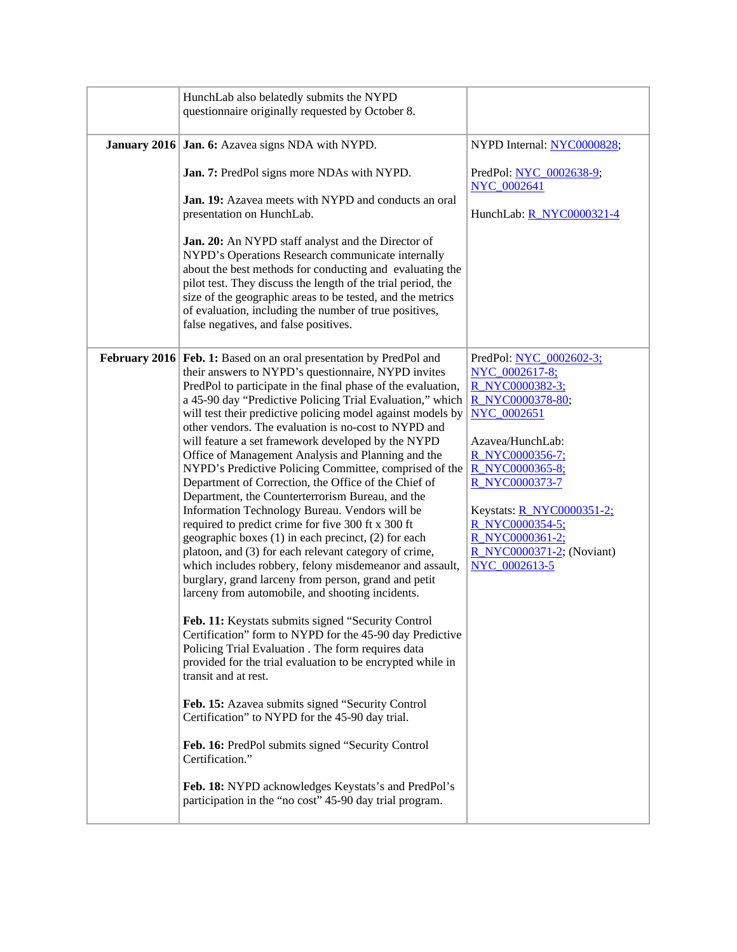| HunchLab also belatedly submits the NYPD<br>questionnaire originally requested by October 8.                                                                                                                                                                                                                                                                                                                                                                                                                                                                                                                                                                                                                                                                                                                                                                                                                                                                                                                                                                                                                                                                                                                                                                                                                                                                                                                                                                                                                                                                                                                                    |                                                                                                                                                                                                                                                                                                            |
|---------------------------------------------------------------------------------------------------------------------------------------------------------------------------------------------------------------------------------------------------------------------------------------------------------------------------------------------------------------------------------------------------------------------------------------------------------------------------------------------------------------------------------------------------------------------------------------------------------------------------------------------------------------------------------------------------------------------------------------------------------------------------------------------------------------------------------------------------------------------------------------------------------------------------------------------------------------------------------------------------------------------------------------------------------------------------------------------------------------------------------------------------------------------------------------------------------------------------------------------------------------------------------------------------------------------------------------------------------------------------------------------------------------------------------------------------------------------------------------------------------------------------------------------------------------------------------------------------------------------------------|------------------------------------------------------------------------------------------------------------------------------------------------------------------------------------------------------------------------------------------------------------------------------------------------------------|
| <b>January 2016 Jan. 6:</b> Azavea signs NDA with NYPD.<br>Jan. 7: PredPol signs more NDAs with NYPD.<br>Jan. 19: Azavea meets with NYPD and conducts an oral<br>presentation on HunchLab.<br>Jan. 20: An NYPD staff analyst and the Director of<br>NYPD's Operations Research communicate internally<br>about the best methods for conducting and evaluating the<br>pilot test. They discuss the length of the trial period, the<br>size of the geographic areas to be tested, and the metrics<br>of evaluation, including the number of true positives,<br>false negatives, and false positives.                                                                                                                                                                                                                                                                                                                                                                                                                                                                                                                                                                                                                                                                                                                                                                                                                                                                                                                                                                                                                              | NYPD Internal: NYC0000828;<br>PredPol: NYC 0002638-9;<br>NYC_0002641<br>HunchLab: R NYC0000321-4                                                                                                                                                                                                           |
| February 2016   Feb. 1: Based on an oral presentation by PredPol and<br>their answers to NYPD's questionnaire, NYPD invites<br>PredPol to participate in the final phase of the evaluation,<br>a 45-90 day "Predictive Policing Trial Evaluation," which<br>will test their predictive policing model against models by<br>other vendors. The evaluation is no-cost to NYPD and<br>will feature a set framework developed by the NYPD<br>Office of Management Analysis and Planning and the<br>NYPD's Predictive Policing Committee, comprised of the<br>Department of Correction, the Office of the Chief of<br>Department, the Counterterrorism Bureau, and the<br>Information Technology Bureau. Vendors will be<br>required to predict crime for five 300 ft x 300 ft<br>geographic boxes (1) in each precinct, (2) for each<br>platoon, and (3) for each relevant category of crime,<br>which includes robbery, felony misdemeanor and assault,<br>burglary, grand larceny from person, grand and petit<br>larceny from automobile, and shooting incidents.<br>Feb. 11: Keystats submits signed "Security Control<br>Certification" form to NYPD for the 45-90 day Predictive<br>Policing Trial Evaluation . The form requires data<br>provided for the trial evaluation to be encrypted while in<br>transit and at rest.<br>Feb. 15: Azavea submits signed "Security Control<br>Certification" to NYPD for the 45-90 day trial.<br>Feb. 16: PredPol submits signed "Security Control<br>Certification."<br>Feb. 18: NYPD acknowledges Keystats's and PredPol's<br>participation in the "no cost" 45-90 day trial program. | PredPol: NYC 0002602-3;<br>NYC_0002617-8;<br>R NYC0000382-3;<br>R NYC0000378-80;<br>NYC_0002651<br>Azavea/HunchLab:<br>R_NYC0000356-7;<br>R NYC0000365-8;<br><b>R NYC0000373-7</b><br>Keystats: <b>R NYC0000351-2;</b><br>R NYC0000354-5;<br>R_NYC0000361-2;<br>R NYC0000371-2; (Noviant)<br>NYC 0002613-5 |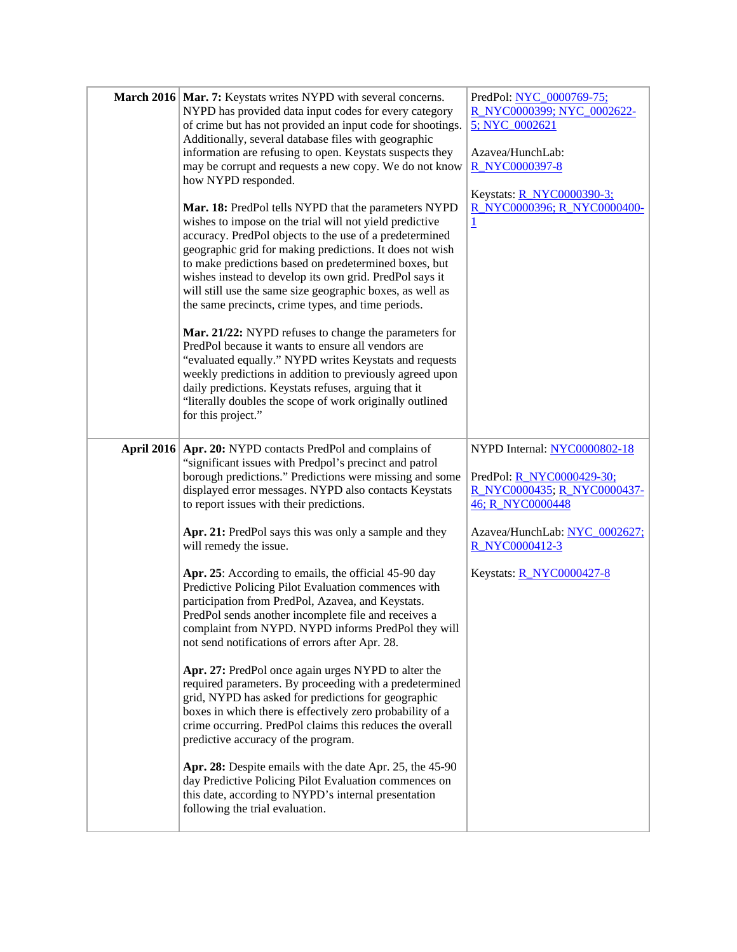| March 2016 Mar. 7: Keystats writes NYPD with several concerns.<br>NYPD has provided data input codes for every category<br>of crime but has not provided an input code for shootings.<br>Additionally, several database files with geographic<br>information are refusing to open. Keystats suspects they<br>may be corrupt and requests a new copy. We do not know<br>how NYPD responded.<br>Mar. 18: PredPol tells NYPD that the parameters NYPD<br>wishes to impose on the trial will not yield predictive<br>accuracy. PredPol objects to the use of a predetermined<br>geographic grid for making predictions. It does not wish<br>to make predictions based on predetermined boxes, but                                                                                                                                                                                                                                                                                                                                                                                                                                                                                                                                                                            | PredPol: NYC 0000769-75;<br>R NYC0000399; NYC 0002622-<br>5; NYC_0002621<br>Azavea/HunchLab:<br>R_NYC0000397-8<br>Keystats: <b>R NYC0000390-3;</b><br>R_NYC0000396; R_NYC0000400-<br>$\overline{1}$       |
|--------------------------------------------------------------------------------------------------------------------------------------------------------------------------------------------------------------------------------------------------------------------------------------------------------------------------------------------------------------------------------------------------------------------------------------------------------------------------------------------------------------------------------------------------------------------------------------------------------------------------------------------------------------------------------------------------------------------------------------------------------------------------------------------------------------------------------------------------------------------------------------------------------------------------------------------------------------------------------------------------------------------------------------------------------------------------------------------------------------------------------------------------------------------------------------------------------------------------------------------------------------------------|-----------------------------------------------------------------------------------------------------------------------------------------------------------------------------------------------------------|
| wishes instead to develop its own grid. PredPol says it<br>will still use the same size geographic boxes, as well as<br>the same precincts, crime types, and time periods.<br>Mar. 21/22: NYPD refuses to change the parameters for<br>PredPol because it wants to ensure all vendors are<br>"evaluated equally." NYPD writes Keystats and requests<br>weekly predictions in addition to previously agreed upon<br>daily predictions. Keystats refuses, arguing that it<br>"literally doubles the scope of work originally outlined<br>for this project."                                                                                                                                                                                                                                                                                                                                                                                                                                                                                                                                                                                                                                                                                                                |                                                                                                                                                                                                           |
| April 2016   Apr. 20: NYPD contacts PredPol and complains of<br>"significant issues with Predpol's precinct and patrol<br>borough predictions." Predictions were missing and some<br>displayed error messages. NYPD also contacts Keystats<br>to report issues with their predictions.<br>Apr. 21: PredPol says this was only a sample and they<br>will remedy the issue.<br>Apr. 25: According to emails, the official 45-90 day<br>Predictive Policing Pilot Evaluation commences with<br>participation from PredPol, Azavea, and Keystats.<br>PredPol sends another incomplete file and receives a<br>complaint from NYPD. NYPD informs PredPol they will<br>not send notifications of errors after Apr. 28.<br>Apr. 27: PredPol once again urges NYPD to alter the<br>required parameters. By proceeding with a predetermined<br>grid, NYPD has asked for predictions for geographic<br>boxes in which there is effectively zero probability of a<br>crime occurring. PredPol claims this reduces the overall<br>predictive accuracy of the program.<br>Apr. 28: Despite emails with the date Apr. 25, the 45-90<br>day Predictive Policing Pilot Evaluation commences on<br>this date, according to NYPD's internal presentation<br>following the trial evaluation. | NYPD Internal: NYC0000802-18<br>PredPol: <u>R_NYC0000429-30;</u><br>R NYC0000435; R NYC0000437-<br>46; R NYC0000448<br>Azavea/HunchLab: NYC 0002627;<br>R NYC0000412-3<br>Keystats: <b>R NYC0000427-8</b> |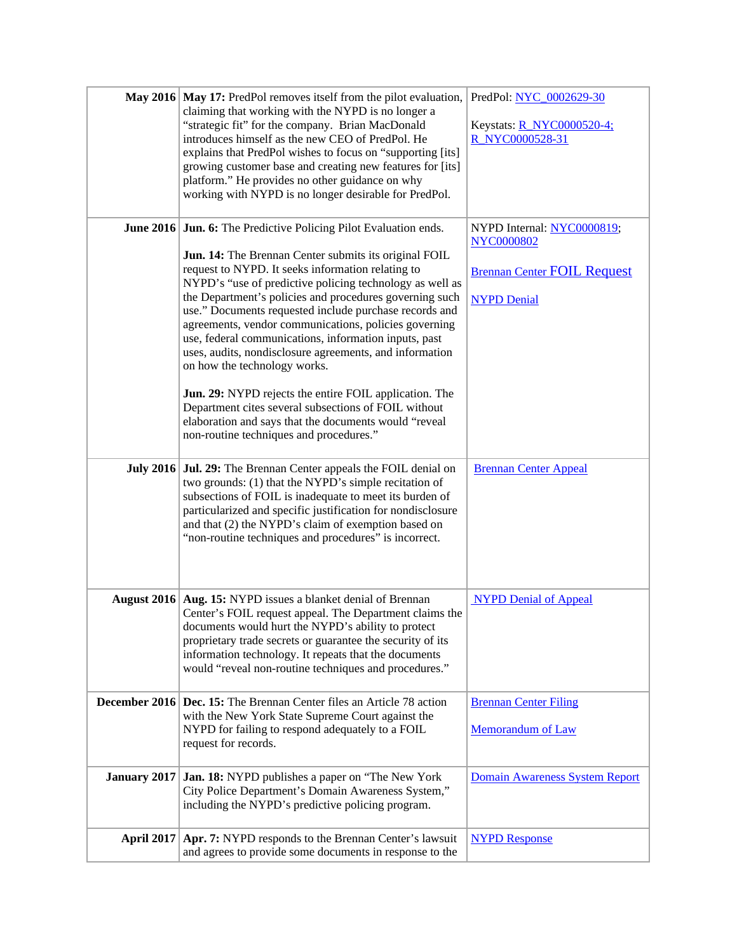|                   | May 2016   May 17: PredPol removes itself from the pilot evaluation,<br>claiming that working with the NYPD is no longer a<br>"strategic fit" for the company. Brian MacDonald<br>introduces himself as the new CEO of PredPol. He<br>explains that PredPol wishes to focus on "supporting [its]<br>growing customer base and creating new features for [its]<br>platform." He provides no other guidance on why<br>working with NYPD is no longer desirable for PredPol.                                                                                                                                                                                                                                                                                                                                        | PredPol: NYC 0002629-30<br>Keystats: <b>R_NYC0000520-4;</b><br>R NYC0000528-31                              |
|-------------------|------------------------------------------------------------------------------------------------------------------------------------------------------------------------------------------------------------------------------------------------------------------------------------------------------------------------------------------------------------------------------------------------------------------------------------------------------------------------------------------------------------------------------------------------------------------------------------------------------------------------------------------------------------------------------------------------------------------------------------------------------------------------------------------------------------------|-------------------------------------------------------------------------------------------------------------|
|                   | <b>June 2016 Jun. 6:</b> The Predictive Policing Pilot Evaluation ends.<br><b>Jun. 14:</b> The Brennan Center submits its original FOIL<br>request to NYPD. It seeks information relating to<br>NYPD's "use of predictive policing technology as well as<br>the Department's policies and procedures governing such<br>use." Documents requested include purchase records and<br>agreements, vendor communications, policies governing<br>use, federal communications, information inputs, past<br>uses, audits, nondisclosure agreements, and information<br>on how the technology works.<br>Jun. 29: NYPD rejects the entire FOIL application. The<br>Department cites several subsections of FOIL without<br>elaboration and says that the documents would "reveal<br>non-routine techniques and procedures." | NYPD Internal: NYC0000819;<br><b>NYC0000802</b><br><b>Brennan Center FOIL Request</b><br><b>NYPD Denial</b> |
|                   | July 2016 Jul. 29: The Brennan Center appeals the FOIL denial on<br>two grounds: (1) that the NYPD's simple recitation of<br>subsections of FOIL is inadequate to meet its burden of<br>particularized and specific justification for nondisclosure<br>and that (2) the NYPD's claim of exemption based on<br>"non-routine techniques and procedures" is incorrect.                                                                                                                                                                                                                                                                                                                                                                                                                                              | <b>Brennan Center Appeal</b>                                                                                |
|                   | August 2016   Aug. 15: NYPD issues a blanket denial of Brennan<br>Center's FOIL request appeal. The Department claims the<br>documents would hurt the NYPD's ability to protect<br>proprietary trade secrets or guarantee the security of its<br>information technology. It repeats that the documents<br>would "reveal non-routine techniques and procedures."                                                                                                                                                                                                                                                                                                                                                                                                                                                  | <b>NYPD Denial of Appeal</b>                                                                                |
|                   | <b>December 2016</b> Dec. 15: The Brennan Center files an Article 78 action<br>with the New York State Supreme Court against the<br>NYPD for failing to respond adequately to a FOIL<br>request for records.                                                                                                                                                                                                                                                                                                                                                                                                                                                                                                                                                                                                     | <b>Brennan Center Filing</b><br>Memorandum of Law                                                           |
| January 2017      | Jan. 18: NYPD publishes a paper on "The New York"<br>City Police Department's Domain Awareness System,"<br>including the NYPD's predictive policing program.                                                                                                                                                                                                                                                                                                                                                                                                                                                                                                                                                                                                                                                     | Domain Awareness System Report                                                                              |
| <b>April 2017</b> | Apr. 7: NYPD responds to the Brennan Center's lawsuit<br>and agrees to provide some documents in response to the                                                                                                                                                                                                                                                                                                                                                                                                                                                                                                                                                                                                                                                                                                 | <b>NYPD Response</b>                                                                                        |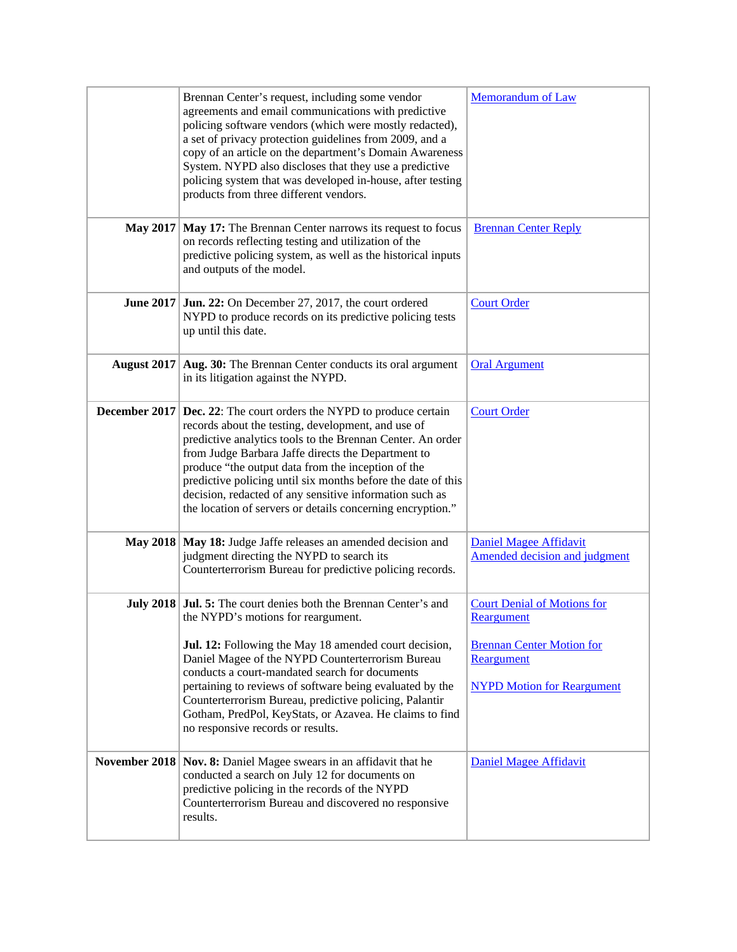|                 | Brennan Center's request, including some vendor<br>agreements and email communications with predictive<br>policing software vendors (which were mostly redacted),<br>a set of privacy protection guidelines from 2009, and a<br>copy of an article on the department's Domain Awareness<br>System. NYPD also discloses that they use a predictive<br>policing system that was developed in-house, after testing<br>products from three different vendors.                                          | <b>Memorandum of Law</b>                                                                                                                |
|-----------------|----------------------------------------------------------------------------------------------------------------------------------------------------------------------------------------------------------------------------------------------------------------------------------------------------------------------------------------------------------------------------------------------------------------------------------------------------------------------------------------------------|-----------------------------------------------------------------------------------------------------------------------------------------|
|                 | May 2017   May 17: The Brennan Center narrows its request to focus<br>on records reflecting testing and utilization of the<br>predictive policing system, as well as the historical inputs<br>and outputs of the model.                                                                                                                                                                                                                                                                            | <b>Brennan Center Reply</b>                                                                                                             |
|                 | <b>June 2017</b> Jun. 22: On December 27, 2017, the court ordered<br>NYPD to produce records on its predictive policing tests<br>up until this date.                                                                                                                                                                                                                                                                                                                                               | <b>Court Order</b>                                                                                                                      |
|                 | August 2017   Aug. 30: The Brennan Center conducts its oral argument<br>in its litigation against the NYPD.                                                                                                                                                                                                                                                                                                                                                                                        | <b>Oral Argument</b>                                                                                                                    |
| December 2017   | <b>Dec. 22:</b> The court orders the NYPD to produce certain<br>records about the testing, development, and use of<br>predictive analytics tools to the Brennan Center. An order<br>from Judge Barbara Jaffe directs the Department to<br>produce "the output data from the inception of the<br>predictive policing until six months before the date of this<br>decision, redacted of any sensitive information such as<br>the location of servers or details concerning encryption."              | <b>Court Order</b>                                                                                                                      |
| <b>May 2018</b> | May 18: Judge Jaffe releases an amended decision and<br>judgment directing the NYPD to search its<br>Counterterrorism Bureau for predictive policing records.                                                                                                                                                                                                                                                                                                                                      | <b>Daniel Magee Affidavit</b><br>Amended decision and judgment                                                                          |
|                 | <b>July 2018</b> Jul. 5: The court denies both the Brennan Center's and<br>the NYPD's motions for reargument.<br>Jul. 12: Following the May 18 amended court decision,<br>Daniel Magee of the NYPD Counterterrorism Bureau<br>conducts a court-mandated search for documents<br>pertaining to reviews of software being evaluated by the<br>Counterterrorism Bureau, predictive policing, Palantir<br>Gotham, PredPol, KeyStats, or Azavea. He claims to find<br>no responsive records or results. | <b>Court Denial of Motions for</b><br>Reargument<br><b>Brennan Center Motion for</b><br>Reargument<br><b>NYPD Motion for Reargument</b> |
|                 | November 2018   Nov. 8: Daniel Magee swears in an affidavit that he<br>conducted a search on July 12 for documents on<br>predictive policing in the records of the NYPD<br>Counterterrorism Bureau and discovered no responsive<br>results.                                                                                                                                                                                                                                                        | <b>Daniel Magee Affidavit</b>                                                                                                           |